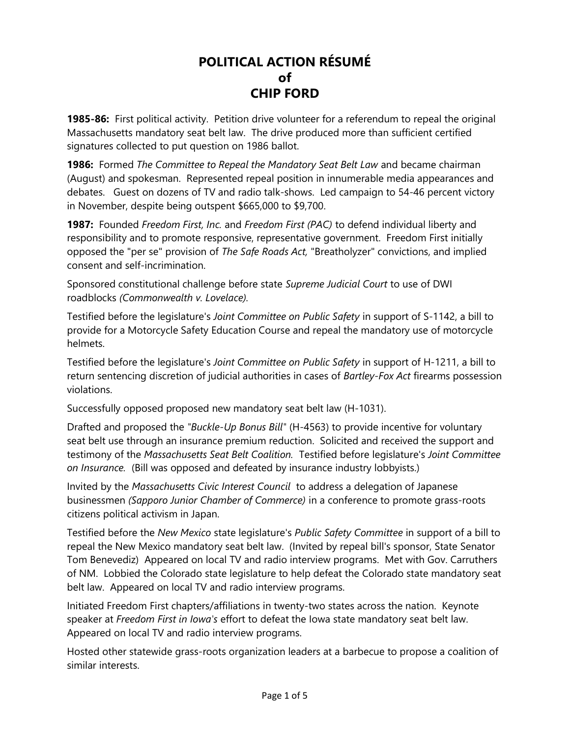## POLITICAL ACTION RÉSUMÉ of CHIP FORD

**1985-86:** First political activity. Petition drive volunteer for a referendum to repeal the original Massachusetts mandatory seat belt law. The drive produced more than sufficient certified signatures collected to put question on 1986 ballot.

**1986:** Formed The Committee to Repeal the Mandatory Seat Belt Law and became chairman (August) and spokesman. Represented repeal position in innumerable media appearances and debates. Guest on dozens of TV and radio talk-shows. Led campaign to 54-46 percent victory in November, despite being outspent \$665,000 to \$9,700.

1987: Founded Freedom First, Inc. and Freedom First (PAC) to defend individual liberty and responsibility and to promote responsive, representative government. Freedom First initially opposed the "per se" provision of The Safe Roads Act, "Breatholyzer" convictions, and implied consent and self-incrimination.

Sponsored constitutional challenge before state Supreme Judicial Court to use of DWI roadblocks (Commonwealth v. Lovelace).

Testified before the legislature's Joint Committee on Public Safety in support of S-1142, a bill to provide for a Motorcycle Safety Education Course and repeal the mandatory use of motorcycle helmets.

Testified before the legislature's *Joint Committee on Public Safety* in support of H-1211, a bill to return sentencing discretion of judicial authorities in cases of Bartley-Fox Act firearms possession violations.

Successfully opposed proposed new mandatory seat belt law (H-1031).

Drafted and proposed the "Buckle-Up Bonus Bill" (H-4563) to provide incentive for voluntary seat belt use through an insurance premium reduction. Solicited and received the support and testimony of the Massachusetts Seat Belt Coalition. Testified before legislature's Joint Committee on Insurance. (Bill was opposed and defeated by insurance industry lobbyists.)

Invited by the Massachusetts Civic Interest Council to address a delegation of Japanese businessmen (Sapporo Junior Chamber of Commerce) in a conference to promote grass-roots citizens political activism in Japan.

Testified before the New Mexico state legislature's Public Safety Committee in support of a bill to repeal the New Mexico mandatory seat belt law. (Invited by repeal bill's sponsor, State Senator Tom Benevediz) Appeared on local TV and radio interview programs. Met with Gov. Carruthers of NM. Lobbied the Colorado state legislature to help defeat the Colorado state mandatory seat belt law. Appeared on local TV and radio interview programs.

Initiated Freedom First chapters/affiliations in twenty-two states across the nation. Keynote speaker at Freedom First in Iowa's effort to defeat the Iowa state mandatory seat belt law. Appeared on local TV and radio interview programs.

Hosted other statewide grass-roots organization leaders at a barbecue to propose a coalition of similar interests.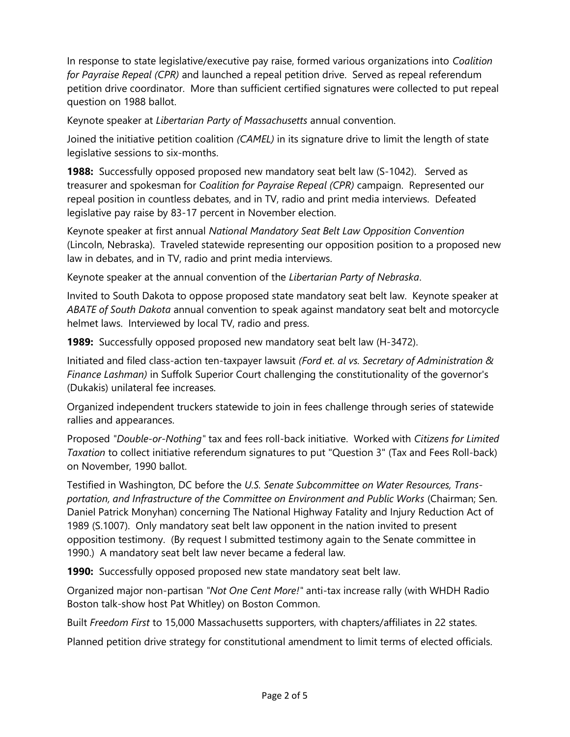In response to state legislative/executive pay raise, formed various organizations into Coalition for Payraise Repeal (CPR) and launched a repeal petition drive. Served as repeal referendum petition drive coordinator. More than sufficient certified signatures were collected to put repeal question on 1988 ballot.

Keynote speaker at Libertarian Party of Massachusetts annual convention.

Joined the initiative petition coalition (CAMEL) in its signature drive to limit the length of state legislative sessions to six-months.

**1988:** Successfully opposed proposed new mandatory seat belt law (S-1042). Served as treasurer and spokesman for Coalition for Payraise Repeal (CPR) campaign. Represented our repeal position in countless debates, and in TV, radio and print media interviews. Defeated legislative pay raise by 83-17 percent in November election.

Keynote speaker at first annual National Mandatory Seat Belt Law Opposition Convention (Lincoln, Nebraska). Traveled statewide representing our opposition position to a proposed new law in debates, and in TV, radio and print media interviews.

Keynote speaker at the annual convention of the Libertarian Party of Nebraska.

Invited to South Dakota to oppose proposed state mandatory seat belt law. Keynote speaker at ABATE of South Dakota annual convention to speak against mandatory seat belt and motorcycle helmet laws. Interviewed by local TV, radio and press.

**1989:** Successfully opposed proposed new mandatory seat belt law (H-3472).

Initiated and filed class-action ten-taxpayer lawsuit (Ford et. al vs. Secretary of Administration & Finance Lashman) in Suffolk Superior Court challenging the constitutionality of the governor's (Dukakis) unilateral fee increases.

Organized independent truckers statewide to join in fees challenge through series of statewide rallies and appearances.

Proposed "Double-or-Nothing" tax and fees roll-back initiative. Worked with Citizens for Limited Taxation to collect initiative referendum signatures to put "Question 3" (Tax and Fees Roll-back) on November, 1990 ballot.

Testified in Washington, DC before the U.S. Senate Subcommittee on Water Resources, Transportation, and Infrastructure of the Committee on Environment and Public Works (Chairman; Sen. Daniel Patrick Monyhan) concerning The National Highway Fatality and Injury Reduction Act of 1989 (S.1007). Only mandatory seat belt law opponent in the nation invited to present opposition testimony. (By request I submitted testimony again to the Senate committee in 1990.) A mandatory seat belt law never became a federal law.

1990: Successfully opposed proposed new state mandatory seat belt law.

Organized major non-partisan "Not One Cent More!" anti-tax increase rally (with WHDH Radio Boston talk-show host Pat Whitley) on Boston Common.

Built Freedom First to 15,000 Massachusetts supporters, with chapters/affiliates in 22 states.

Planned petition drive strategy for constitutional amendment to limit terms of elected officials.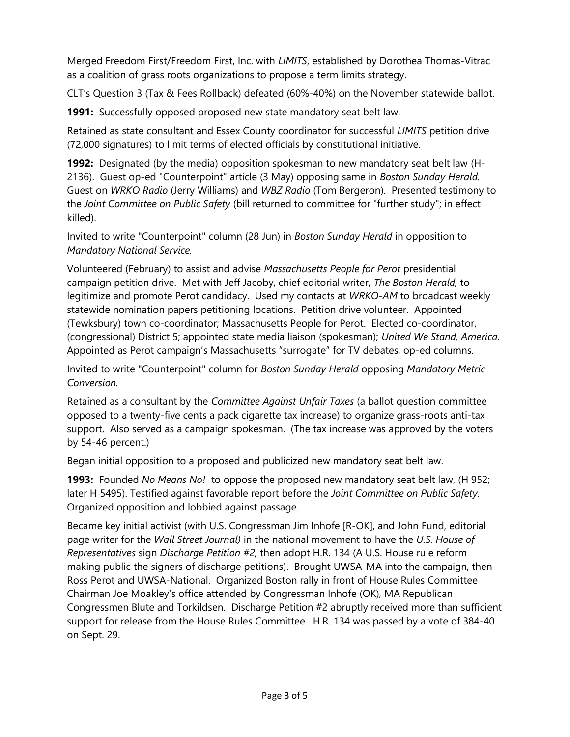Merged Freedom First/Freedom First, Inc. with LIMITS, established by Dorothea Thomas-Vitrac as a coalition of grass roots organizations to propose a term limits strategy.

CLT's Question 3 (Tax & Fees Rollback) defeated (60%-40%) on the November statewide ballot.

1991: Successfully opposed proposed new state mandatory seat belt law.

Retained as state consultant and Essex County coordinator for successful LIMITS petition drive (72,000 signatures) to limit terms of elected officials by constitutional initiative.

1992: Designated (by the media) opposition spokesman to new mandatory seat belt law (H-2136). Guest op-ed "Counterpoint" article (3 May) opposing same in Boston Sunday Herald. Guest on WRKO Radio (Jerry Williams) and WBZ Radio (Tom Bergeron). Presented testimony to the Joint Committee on Public Safety (bill returned to committee for "further study"; in effect killed).

Invited to write "Counterpoint" column (28 Jun) in Boston Sunday Herald in opposition to Mandatory National Service.

Volunteered (February) to assist and advise Massachusetts People for Perot presidential campaign petition drive. Met with Jeff Jacoby, chief editorial writer, The Boston Herald, to legitimize and promote Perot candidacy. Used my contacts at WRKO-AM to broadcast weekly statewide nomination papers petitioning locations. Petition drive volunteer. Appointed (Tewksbury) town co-coordinator; Massachusetts People for Perot. Elected co-coordinator, (congressional) District 5; appointed state media liaison (spokesman); United We Stand, America. Appointed as Perot campaign's Massachusetts "surrogate" for TV debates, op-ed columns.

Invited to write "Counterpoint" column for Boston Sunday Herald opposing Mandatory Metric Conversion.

Retained as a consultant by the Committee Against Unfair Taxes (a ballot question committee opposed to a twenty-five cents a pack cigarette tax increase) to organize grass-roots anti-tax support. Also served as a campaign spokesman. (The tax increase was approved by the voters by 54-46 percent.)

Began initial opposition to a proposed and publicized new mandatory seat belt law.

**1993:** Founded No Means No! to oppose the proposed new mandatory seat belt law, (H 952; later H 5495). Testified against favorable report before the Joint Committee on Public Safety. Organized opposition and lobbied against passage.

Became key initial activist (with U.S. Congressman Jim Inhofe [R-OK], and John Fund, editorial page writer for the Wall Street Journal) in the national movement to have the U.S. House of Representatives sign Discharge Petition #2, then adopt H.R. 134 (A U.S. House rule reform making public the signers of discharge petitions). Brought UWSA-MA into the campaign, then Ross Perot and UWSA-National. Organized Boston rally in front of House Rules Committee Chairman Joe Moakley's office attended by Congressman Inhofe (OK), MA Republican Congressmen Blute and Torkildsen. Discharge Petition #2 abruptly received more than sufficient support for release from the House Rules Committee. H.R. 134 was passed by a vote of 384-40 on Sept. 29.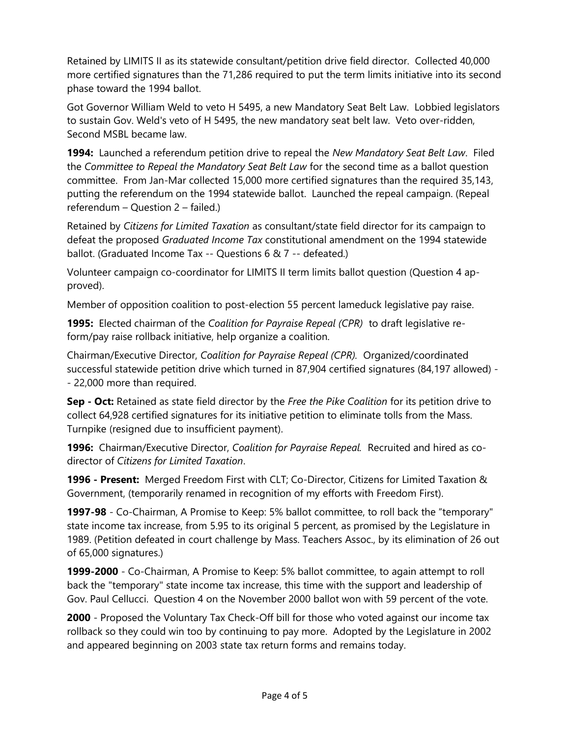Retained by LIMITS II as its statewide consultant/petition drive field director. Collected 40,000 more certified signatures than the 71,286 required to put the term limits initiative into its second phase toward the 1994 ballot.

Got Governor William Weld to veto H 5495, a new Mandatory Seat Belt Law. Lobbied legislators to sustain Gov. Weld's veto of H 5495, the new mandatory seat belt law. Veto over-ridden, Second MSBL became law.

1994: Launched a referendum petition drive to repeal the New Mandatory Seat Belt Law. Filed the Committee to Repeal the Mandatory Seat Belt Law for the second time as a ballot question committee. From Jan-Mar collected 15,000 more certified signatures than the required 35,143, putting the referendum on the 1994 statewide ballot. Launched the repeal campaign. (Repeal referendum – Question 2 – failed.)

Retained by Citizens for Limited Taxation as consultant/state field director for its campaign to defeat the proposed Graduated Income Tax constitutional amendment on the 1994 statewide ballot. (Graduated Income Tax -- Questions 6 & 7 -- defeated.)

Volunteer campaign co-coordinator for LIMITS II term limits ballot question (Question 4 approved).

Member of opposition coalition to post-election 55 percent lameduck legislative pay raise.

1995: Elected chairman of the Coalition for Payraise Repeal (CPR) to draft legislative reform/pay raise rollback initiative, help organize a coalition.

Chairman/Executive Director, Coalition for Payraise Repeal (CPR). Organized/coordinated successful statewide petition drive which turned in 87,904 certified signatures (84,197 allowed) - - 22,000 more than required.

Sep - Oct: Retained as state field director by the Free the Pike Coalition for its petition drive to collect 64,928 certified signatures for its initiative petition to eliminate tolls from the Mass. Turnpike (resigned due to insufficient payment).

1996: Chairman/Executive Director, Coalition for Payraise Repeal. Recruited and hired as codirector of Citizens for Limited Taxation.

1996 - Present: Merged Freedom First with CLT; Co-Director, Citizens for Limited Taxation & Government, (temporarily renamed in recognition of my efforts with Freedom First).

1997-98 - Co-Chairman, A Promise to Keep: 5% ballot committee, to roll back the "temporary" state income tax increase, from 5.95 to its original 5 percent, as promised by the Legislature in 1989. (Petition defeated in court challenge by Mass. Teachers Assoc., by its elimination of 26 out of 65,000 signatures.)

1999-2000 - Co-Chairman, A Promise to Keep: 5% ballot committee, to again attempt to roll back the "temporary" state income tax increase, this time with the support and leadership of Gov. Paul Cellucci. Question 4 on the November 2000 ballot won with 59 percent of the vote.

2000 - Proposed the Voluntary Tax Check-Off bill for those who voted against our income tax rollback so they could win too by continuing to pay more. Adopted by the Legislature in 2002 and appeared beginning on 2003 state tax return forms and remains today.